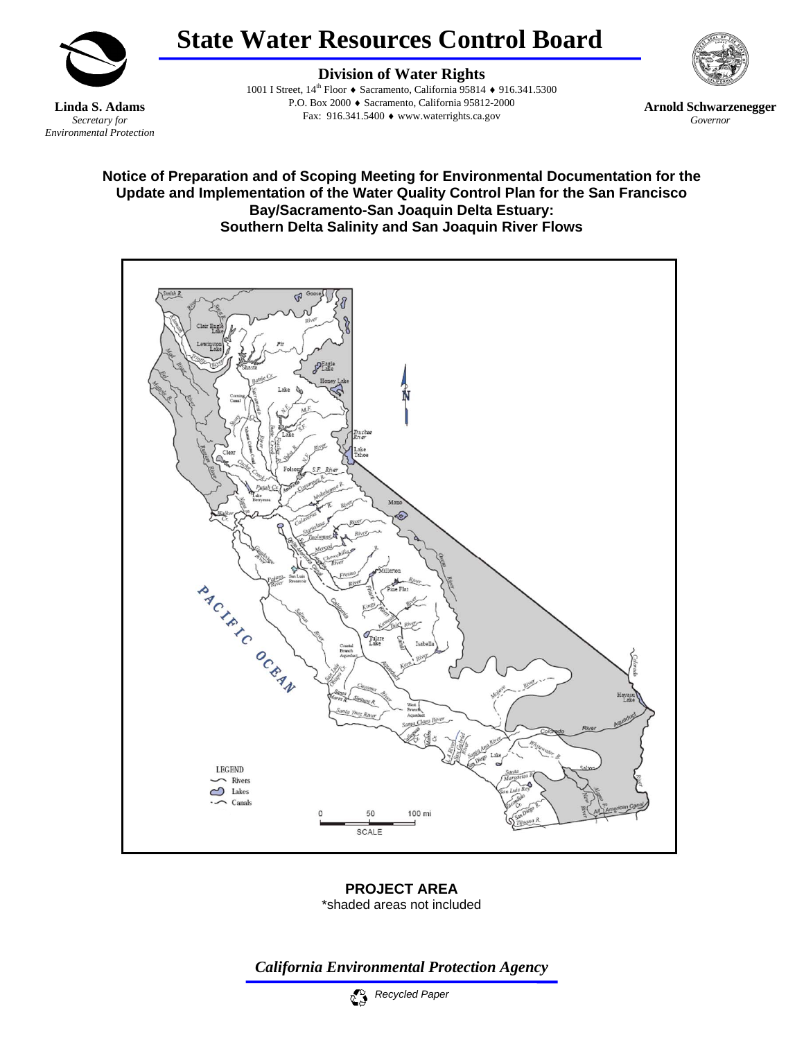

# **State Water Resources Control Board**

**Linda S. Adams**  *Secretary for Environmental Protection* 

**Division of Water Rights** 1001 I Street, 14th Floor ♦ Sacramento, California 95814 ♦ 916.341.5300 P.O. Box 2000 ♦ Sacramento, California 95812-2000 Fax: 916.341.5400 ♦ www.waterrights.ca.gov

**Arnold Schwarzenegger** *Governor* 

## **Notice of Preparation and of Scoping Meeting for Environmental Documentation for the Update and Implementation of the Water Quality Control Plan for the San Francisco Bay/Sacramento-San Joaquin Delta Estuary: Southern Delta Salinity and San Joaquin River Flows**



**PROJECT AREA**  \*shaded areas not included

*California Environmental Protection Agency*

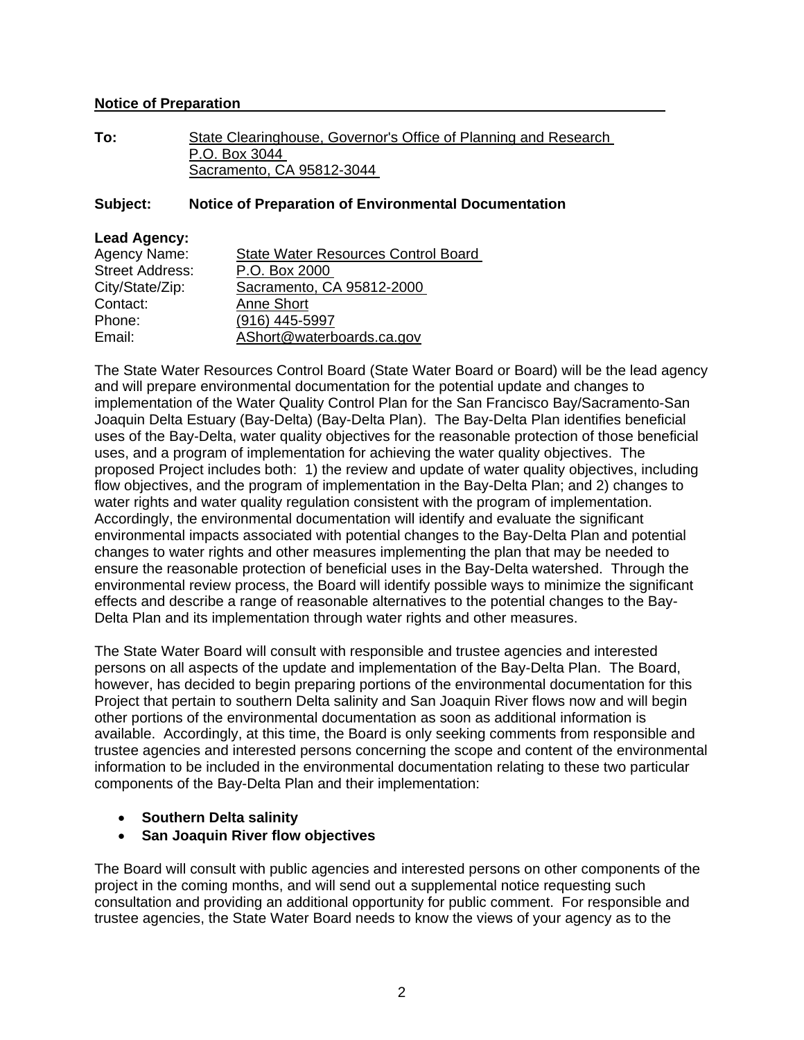#### **Notice of Preparation**

**To:** State Clearinghouse, Governor's Office of Planning and Research P.O. Box 3044 Sacramento, CA 95812-3044

#### **Subject: Notice of Preparation of Environmental Documentation**

| <b>Lead Agency:</b>    |                                            |
|------------------------|--------------------------------------------|
| Agency Name:           | <b>State Water Resources Control Board</b> |
| <b>Street Address:</b> | P.O. Box 2000                              |
| City/State/Zip:        | Sacramento, CA 95812-2000                  |
| Contact:               | <b>Anne Short</b>                          |
| Phone:                 | (916) 445-5997                             |
| Email:                 | AShort@waterboards.ca.gov                  |
|                        |                                            |

The State Water Resources Control Board (State Water Board or Board) will be the lead agency and will prepare environmental documentation for the potential update and changes to implementation of the Water Quality Control Plan for the San Francisco Bay/Sacramento-San Joaquin Delta Estuary (Bay-Delta) (Bay-Delta Plan). The Bay-Delta Plan identifies beneficial uses of the Bay-Delta, water quality objectives for the reasonable protection of those beneficial uses, and a program of implementation for achieving the water quality objectives. The proposed Project includes both: 1) the review and update of water quality objectives, including flow objectives, and the program of implementation in the Bay-Delta Plan; and 2) changes to water rights and water quality regulation consistent with the program of implementation. Accordingly, the environmental documentation will identify and evaluate the significant environmental impacts associated with potential changes to the Bay-Delta Plan and potential changes to water rights and other measures implementing the plan that may be needed to ensure the reasonable protection of beneficial uses in the Bay-Delta watershed. Through the environmental review process, the Board will identify possible ways to minimize the significant effects and describe a range of reasonable alternatives to the potential changes to the Bay-Delta Plan and its implementation through water rights and other measures.

The State Water Board will consult with responsible and trustee agencies and interested persons on all aspects of the update and implementation of the Bay-Delta Plan. The Board, however, has decided to begin preparing portions of the environmental documentation for this Project that pertain to southern Delta salinity and San Joaquin River flows now and will begin other portions of the environmental documentation as soon as additional information is available. Accordingly, at this time, the Board is only seeking comments from responsible and trustee agencies and interested persons concerning the scope and content of the environmental information to be included in the environmental documentation relating to these two particular components of the Bay-Delta Plan and their implementation:

- **Southern Delta salinity**
- **San Joaquin River flow objectives**

The Board will consult with public agencies and interested persons on other components of the project in the coming months, and will send out a supplemental notice requesting such consultation and providing an additional opportunity for public comment. For responsible and trustee agencies, the State Water Board needs to know the views of your agency as to the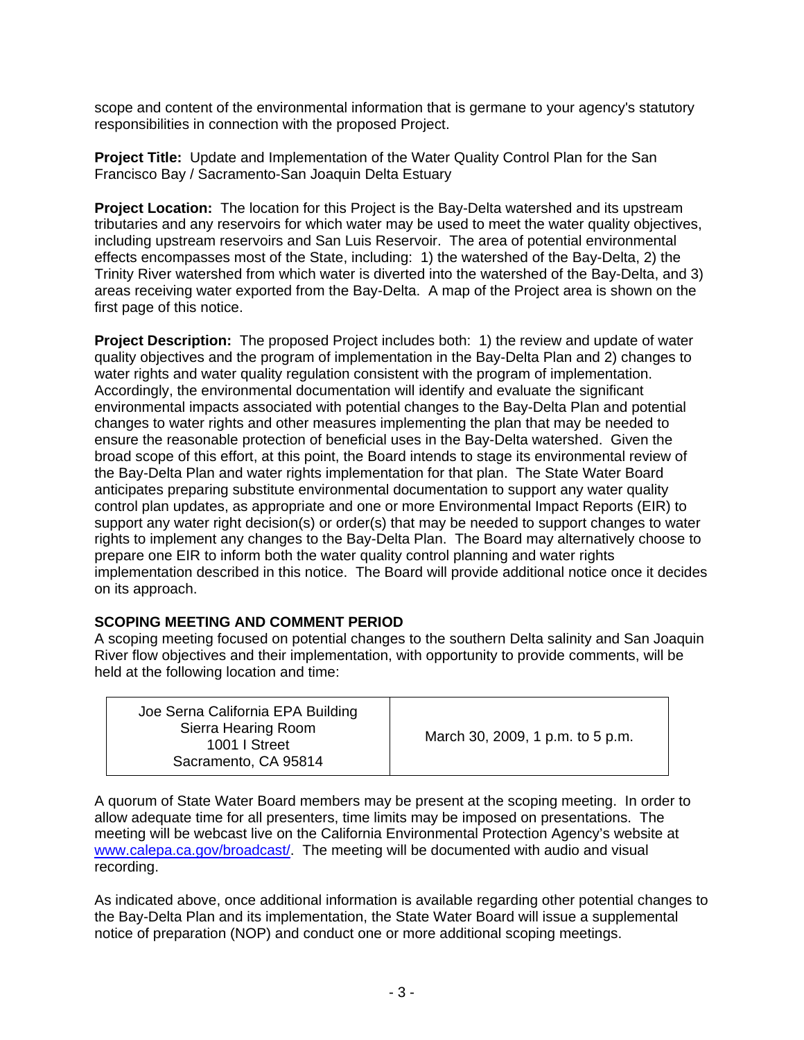scope and content of the environmental information that is germane to your agency's statutory responsibilities in connection with the proposed Project.

**Project Title:** Update and Implementation of the Water Quality Control Plan for the San Francisco Bay / Sacramento-San Joaquin Delta Estuary

**Project Location:** The location for this Project is the Bay-Delta watershed and its upstream tributaries and any reservoirs for which water may be used to meet the water quality objectives, including upstream reservoirs and San Luis Reservoir. The area of potential environmental effects encompasses most of the State, including: 1) the watershed of the Bay-Delta, 2) the Trinity River watershed from which water is diverted into the watershed of the Bay-Delta, and 3) areas receiving water exported from the Bay-Delta. A map of the Project area is shown on the first page of this notice.

**Project Description:** The proposed Project includes both: 1) the review and update of water quality objectives and the program of implementation in the Bay-Delta Plan and 2) changes to water rights and water quality regulation consistent with the program of implementation. Accordingly, the environmental documentation will identify and evaluate the significant environmental impacts associated with potential changes to the Bay-Delta Plan and potential changes to water rights and other measures implementing the plan that may be needed to ensure the reasonable protection of beneficial uses in the Bay-Delta watershed. Given the broad scope of this effort, at this point, the Board intends to stage its environmental review of the Bay-Delta Plan and water rights implementation for that plan. The State Water Board anticipates preparing substitute environmental documentation to support any water quality control plan updates, as appropriate and one or more Environmental Impact Reports (EIR) to support any water right decision(s) or order(s) that may be needed to support changes to water rights to implement any changes to the Bay-Delta Plan. The Board may alternatively choose to prepare one EIR to inform both the water quality control planning and water rights implementation described in this notice. The Board will provide additional notice once it decides on its approach.

#### **SCOPING MEETING AND COMMENT PERIOD**

A scoping meeting focused on potential changes to the southern Delta salinity and San Joaquin River flow objectives and their implementation, with opportunity to provide comments, will be held at the following location and time:

| Joe Serna California EPA Building<br>Sierra Hearing Room<br>1001   Street<br>Sacramento, CA 95814 | March 30, 2009, 1 p.m. to 5 p.m. |
|---------------------------------------------------------------------------------------------------|----------------------------------|
|---------------------------------------------------------------------------------------------------|----------------------------------|

A quorum of State Water Board members may be present at the scoping meeting. In order to allow adequate time for all presenters, time limits may be imposed on presentations. The meeting will be webcast live on the California Environmental Protection Agency's website at [www.calepa.ca.gov/broadcast/](http://www.calepa.ca.gov/broadcast/). The meeting will be documented with audio and visual recording.

As indicated above, once additional information is available regarding other potential changes to the Bay-Delta Plan and its implementation, the State Water Board will issue a supplemental notice of preparation (NOP) and conduct one or more additional scoping meetings.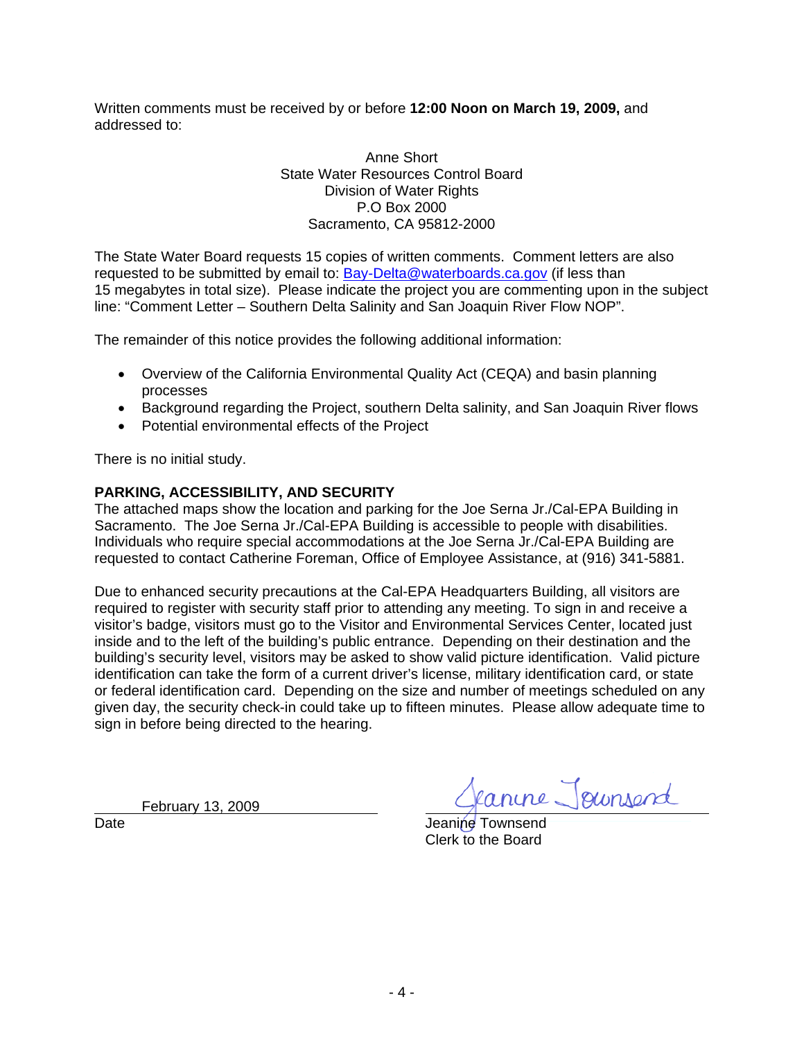Written comments must be received by or before **12:00 Noon on March 19, 2009,** and addressed to:

> Anne Short State Water Resources Control Board Division of Water Rights P.O Box 2000 Sacramento, CA 95812-2000

The State Water Board requests 15 copies of written comments. Comment letters are also requested to be submitted by email to: [Bay-Delta@waterboards.ca.gov](mailto:Bay-Delta@waterboards.ca.gov) (if less than 15 megabytes in total size). Please indicate the project you are commenting upon in the subject line: "Comment Letter – Southern Delta Salinity and San Joaquin River Flow NOP".

The remainder of this notice provides the following additional information:

- Overview of the California Environmental Quality Act (CEQA) and basin planning processes
- Background regarding the Project, southern Delta salinity, and San Joaquin River flows
- Potential environmental effects of the Project

There is no initial study.

## **PARKING, ACCESSIBILITY, AND SECURITY**

The attached maps show the location and parking for the Joe Serna Jr./Cal-EPA Building in Sacramento. The Joe Serna Jr./Cal-EPA Building is accessible to people with disabilities. Individuals who require special accommodations at the Joe Serna Jr./Cal-EPA Building are requested to contact Catherine Foreman, Office of Employee Assistance, at (916) 341-5881.

Due to enhanced security precautions at the Cal-EPA Headquarters Building, all visitors are required to register with security staff prior to attending any meeting. To sign in and receive a visitor's badge, visitors must go to the Visitor and Environmental Services Center, located just inside and to the left of the building's public entrance. Depending on their destination and the building's security level, visitors may be asked to show valid picture identification. Valid picture identification can take the form of a current driver's license, military identification card, or state or federal identification card. Depending on the size and number of meetings scheduled on any given day, the security check-in could take up to fifteen minutes. Please allow adequate time to sign in before being directed to the hearing.

February 13, 2009

canine Joursend

Date **Date** Jeanine Townsend Clerk to the Board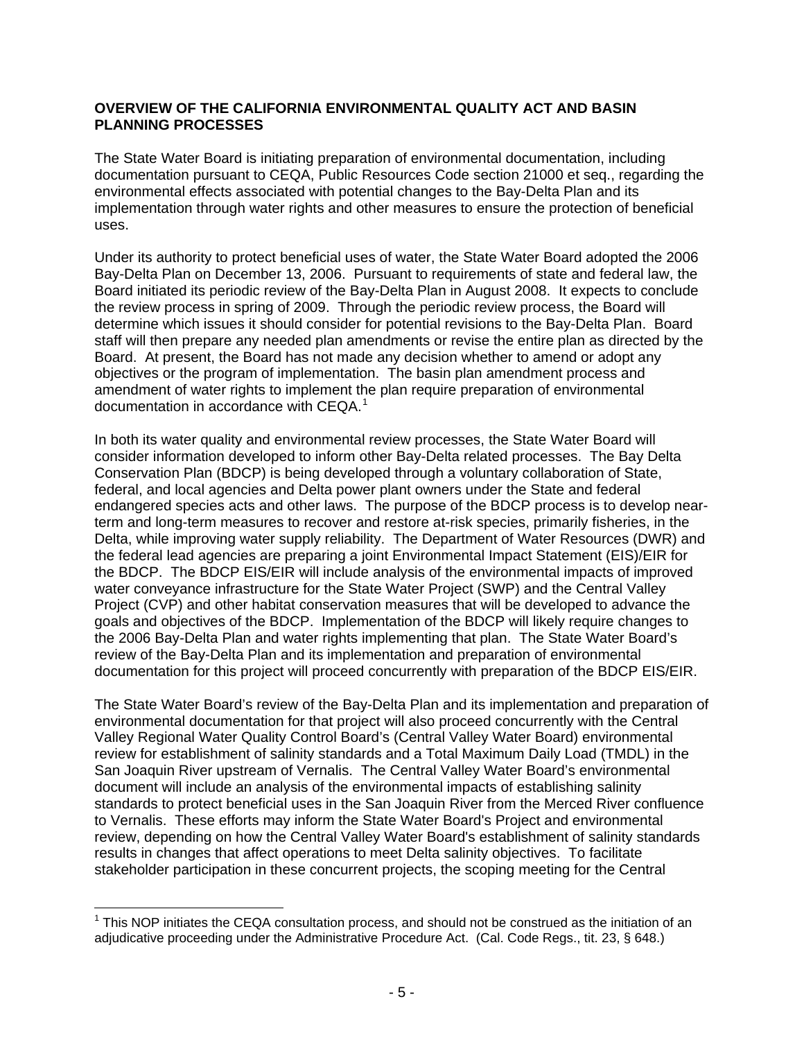## **OVERVIEW OF THE CALIFORNIA ENVIRONMENTAL QUALITY ACT AND BASIN PLANNING PROCESSES**

The State Water Board is initiating preparation of environmental documentation, including documentation pursuant to CEQA, Public Resources Code section 21000 et seq., regarding the environmental effects associated with potential changes to the Bay-Delta Plan and its implementation through water rights and other measures to ensure the protection of beneficial uses.

Under its authority to protect beneficial uses of water, the State Water Board adopted the 2006 Bay-Delta Plan on December 13, 2006. Pursuant to requirements of state and federal law, the Board initiated its periodic review of the Bay-Delta Plan in August 2008. It expects to conclude the review process in spring of 2009. Through the periodic review process, the Board will determine which issues it should consider for potential revisions to the Bay-Delta Plan. Board staff will then prepare any needed plan amendments or revise the entire plan as directed by the Board. At present, the Board has not made any decision whether to amend or adopt any objectives or the program of implementation. The basin plan amendment process and amendment of water rights to implement the plan require preparation of environmental documentation in accordance with CEQA. $1$ 

In both its water quality and environmental review processes, the State Water Board will consider information developed to inform other Bay-Delta related processes. The Bay Delta Conservation Plan (BDCP) is being developed through a voluntary collaboration of State, federal, and local agencies and Delta power plant owners under the State and federal endangered species acts and other laws. The purpose of the BDCP process is to develop nearterm and long-term measures to recover and restore at-risk species, primarily fisheries, in the Delta, while improving water supply reliability. The Department of Water Resources (DWR) and the federal lead agencies are preparing a joint Environmental Impact Statement (EIS)/EIR for the BDCP. The BDCP EIS/EIR will include analysis of the environmental impacts of improved water conveyance infrastructure for the State Water Project (SWP) and the Central Valley Project (CVP) and other habitat conservation measures that will be developed to advance the goals and objectives of the BDCP. Implementation of the BDCP will likely require changes to the 2006 Bay-Delta Plan and water rights implementing that plan. The State Water Board's review of the Bay-Delta Plan and its implementation and preparation of environmental documentation for this project will proceed concurrently with preparation of the BDCP EIS/EIR.

The State Water Board's review of the Bay-Delta Plan and its implementation and preparation of environmental documentation for that project will also proceed concurrently with the Central Valley Regional Water Quality Control Board's (Central Valley Water Board) environmental review for establishment of salinity standards and a Total Maximum Daily Load (TMDL) in the San Joaquin River upstream of Vernalis. The Central Valley Water Board's environmental document will include an analysis of the environmental impacts of establishing salinity standards to protect beneficial uses in the San Joaquin River from the Merced River confluence to Vernalis. These efforts may inform the State Water Board's Project and environmental review, depending on how the Central Valley Water Board's establishment of salinity standards results in changes that affect operations to meet Delta salinity objectives. To facilitate stakeholder participation in these concurrent projects, the scoping meeting for the Central

 $\overline{a}$ 

 $1$  This NOP initiates the CEQA consultation process, and should not be construed as the initiation of an adjudicative proceeding under the Administrative Procedure Act. (Cal. Code Regs., tit. 23, § 648.)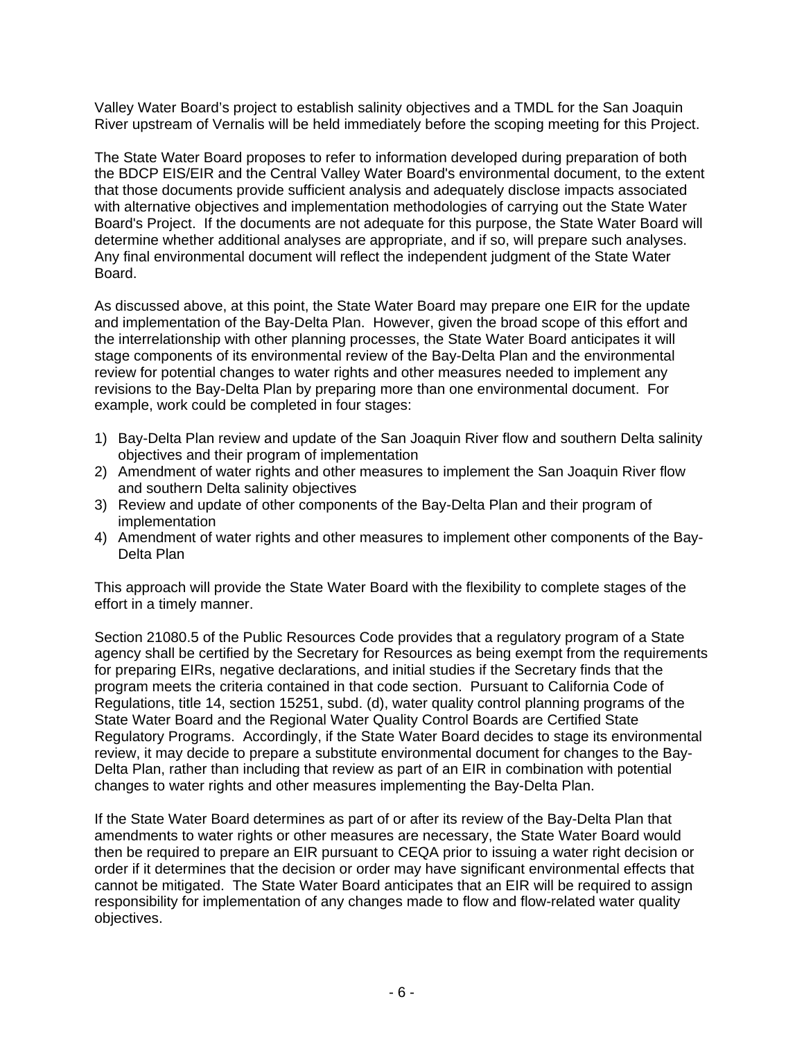Valley Water Board's project to establish salinity objectives and a TMDL for the San Joaquin River upstream of Vernalis will be held immediately before the scoping meeting for this Project.

The State Water Board proposes to refer to information developed during preparation of both the BDCP EIS/EIR and the Central Valley Water Board's environmental document, to the extent that those documents provide sufficient analysis and adequately disclose impacts associated with alternative objectives and implementation methodologies of carrying out the State Water Board's Project. If the documents are not adequate for this purpose, the State Water Board will determine whether additional analyses are appropriate, and if so, will prepare such analyses. Any final environmental document will reflect the independent judgment of the State Water Board.

As discussed above, at this point, the State Water Board may prepare one EIR for the update and implementation of the Bay-Delta Plan. However, given the broad scope of this effort and the interrelationship with other planning processes, the State Water Board anticipates it will stage components of its environmental review of the Bay-Delta Plan and the environmental review for potential changes to water rights and other measures needed to implement any revisions to the Bay-Delta Plan by preparing more than one environmental document. For example, work could be completed in four stages:

- 1) Bay-Delta Plan review and update of the San Joaquin River flow and southern Delta salinity objectives and their program of implementation
- 2) Amendment of water rights and other measures to implement the San Joaquin River flow and southern Delta salinity objectives
- 3) Review and update of other components of the Bay-Delta Plan and their program of implementation
- 4) Amendment of water rights and other measures to implement other components of the Bay-Delta Plan

This approach will provide the State Water Board with the flexibility to complete stages of the effort in a timely manner.

Section 21080.5 of the Public Resources Code provides that a regulatory program of a State agency shall be certified by the Secretary for Resources as being exempt from the requirements for preparing EIRs, negative declarations, and initial studies if the Secretary finds that the program meets the criteria contained in that code section. Pursuant to California Code of Regulations, title 14, section 15251, subd. (d), water quality control planning programs of the State Water Board and the Regional Water Quality Control Boards are Certified State Regulatory Programs. Accordingly, if the State Water Board decides to stage its environmental review, it may decide to prepare a substitute environmental document for changes to the Bay-Delta Plan, rather than including that review as part of an EIR in combination with potential changes to water rights and other measures implementing the Bay-Delta Plan.

If the State Water Board determines as part of or after its review of the Bay-Delta Plan that amendments to water rights or other measures are necessary, the State Water Board would then be required to prepare an EIR pursuant to CEQA prior to issuing a water right decision or order if it determines that the decision or order may have significant environmental effects that cannot be mitigated. The State Water Board anticipates that an EIR will be required to assign responsibility for implementation of any changes made to flow and flow-related water quality objectives.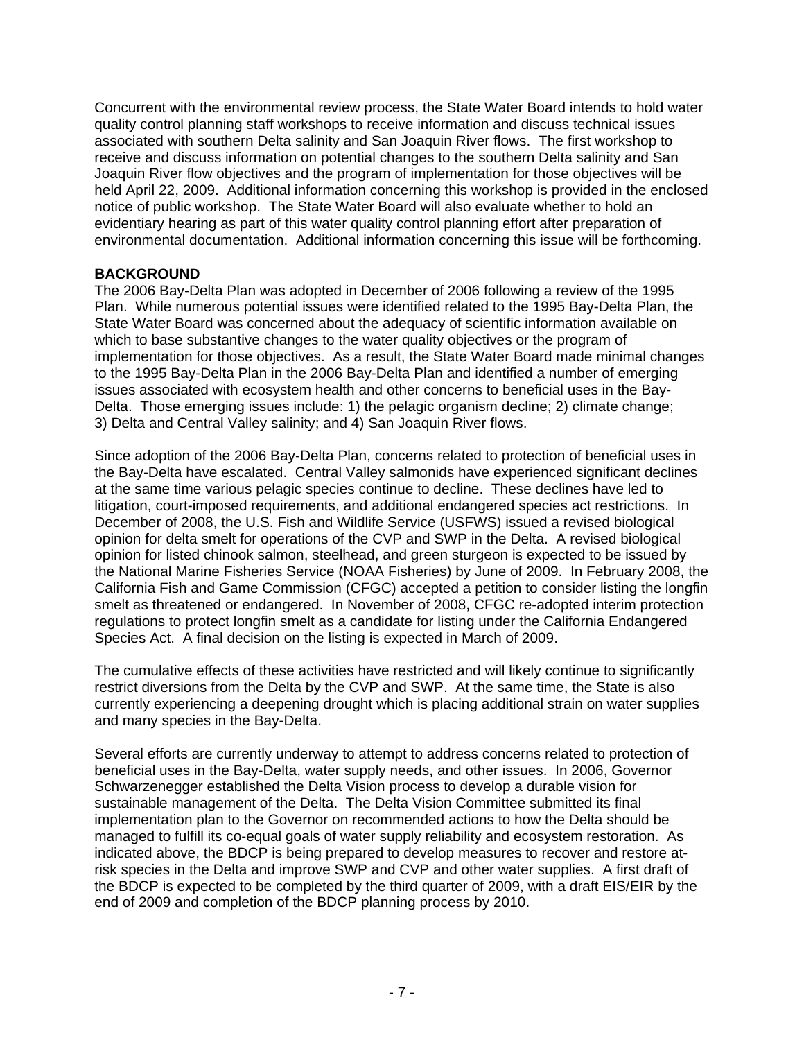Concurrent with the environmental review process, the State Water Board intends to hold water quality control planning staff workshops to receive information and discuss technical issues associated with southern Delta salinity and San Joaquin River flows. The first workshop to receive and discuss information on potential changes to the southern Delta salinity and San Joaquin River flow objectives and the program of implementation for those objectives will be held April 22, 2009. Additional information concerning this workshop is provided in the enclosed notice of public workshop. The State Water Board will also evaluate whether to hold an evidentiary hearing as part of this water quality control planning effort after preparation of environmental documentation. Additional information concerning this issue will be forthcoming.

## **BACKGROUND**

The 2006 Bay-Delta Plan was adopted in December of 2006 following a review of the 1995 Plan. While numerous potential issues were identified related to the 1995 Bay-Delta Plan, the State Water Board was concerned about the adequacy of scientific information available on which to base substantive changes to the water quality objectives or the program of implementation for those objectives. As a result, the State Water Board made minimal changes to the 1995 Bay-Delta Plan in the 2006 Bay-Delta Plan and identified a number of emerging issues associated with ecosystem health and other concerns to beneficial uses in the Bay-Delta. Those emerging issues include: 1) the pelagic organism decline; 2) climate change; 3) Delta and Central Valley salinity; and 4) San Joaquin River flows.

Since adoption of the 2006 Bay-Delta Plan, concerns related to protection of beneficial uses in the Bay-Delta have escalated. Central Valley salmonids have experienced significant declines at the same time various pelagic species continue to decline. These declines have led to litigation, court-imposed requirements, and additional endangered species act restrictions. In December of 2008, the U.S. Fish and Wildlife Service (USFWS) issued a revised biological opinion for delta smelt for operations of the CVP and SWP in the Delta. A revised biological opinion for listed chinook salmon, steelhead, and green sturgeon is expected to be issued by the National Marine Fisheries Service (NOAA Fisheries) by June of 2009. In February 2008, the California Fish and Game Commission (CFGC) accepted a petition to consider listing the longfin smelt as threatened or endangered. In November of 2008, CFGC re-adopted interim protection regulations to protect longfin smelt as a candidate for listing under the California Endangered Species Act. A final decision on the listing is expected in March of 2009.

The cumulative effects of these activities have restricted and will likely continue to significantly restrict diversions from the Delta by the CVP and SWP. At the same time, the State is also currently experiencing a deepening drought which is placing additional strain on water supplies and many species in the Bay-Delta.

Several efforts are currently underway to attempt to address concerns related to protection of beneficial uses in the Bay-Delta, water supply needs, and other issues. In 2006, Governor Schwarzenegger established the Delta Vision process to develop a durable vision for sustainable management of the Delta. The Delta Vision Committee submitted its final implementation plan to the Governor on recommended actions to how the Delta should be managed to fulfill its co-equal goals of water supply reliability and ecosystem restoration. As indicated above, the BDCP is being prepared to develop measures to recover and restore atrisk species in the Delta and improve SWP and CVP and other water supplies. A first draft of the BDCP is expected to be completed by the third quarter of 2009, with a draft EIS/EIR by the end of 2009 and completion of the BDCP planning process by 2010.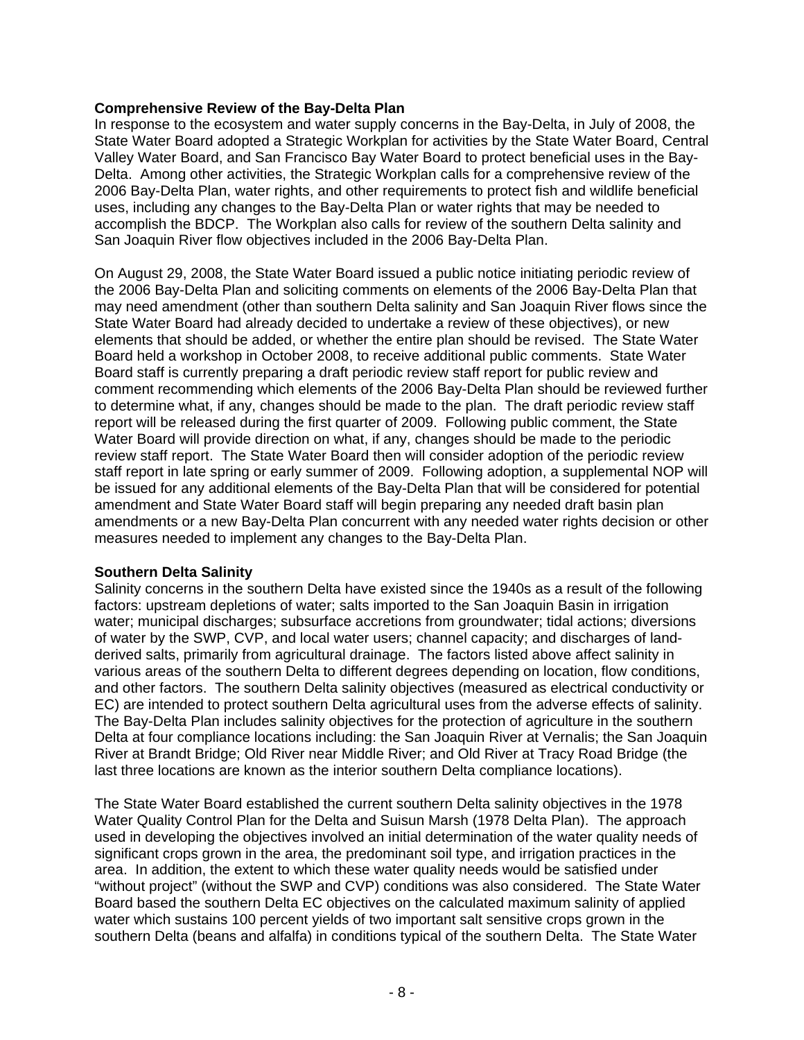## **Comprehensive Review of the Bay-Delta Plan**

In response to the ecosystem and water supply concerns in the Bay-Delta, in July of 2008, the State Water Board adopted a Strategic Workplan for activities by the State Water Board, Central Valley Water Board, and San Francisco Bay Water Board to protect beneficial uses in the Bay-Delta. Among other activities, the Strategic Workplan calls for a comprehensive review of the 2006 Bay-Delta Plan, water rights, and other requirements to protect fish and wildlife beneficial uses, including any changes to the Bay-Delta Plan or water rights that may be needed to accomplish the BDCP. The Workplan also calls for review of the southern Delta salinity and San Joaquin River flow objectives included in the 2006 Bay-Delta Plan.

On August 29, 2008, the State Water Board issued a public notice initiating periodic review of the 2006 Bay-Delta Plan and soliciting comments on elements of the 2006 Bay-Delta Plan that may need amendment (other than southern Delta salinity and San Joaquin River flows since the State Water Board had already decided to undertake a review of these objectives), or new elements that should be added, or whether the entire plan should be revised. The State Water Board held a workshop in October 2008, to receive additional public comments. State Water Board staff is currently preparing a draft periodic review staff report for public review and comment recommending which elements of the 2006 Bay-Delta Plan should be reviewed further to determine what, if any, changes should be made to the plan. The draft periodic review staff report will be released during the first quarter of 2009. Following public comment, the State Water Board will provide direction on what, if any, changes should be made to the periodic review staff report. The State Water Board then will consider adoption of the periodic review staff report in late spring or early summer of 2009. Following adoption, a supplemental NOP will be issued for any additional elements of the Bay-Delta Plan that will be considered for potential amendment and State Water Board staff will begin preparing any needed draft basin plan amendments or a new Bay-Delta Plan concurrent with any needed water rights decision or other measures needed to implement any changes to the Bay-Delta Plan.

#### **Southern Delta Salinity**

Salinity concerns in the southern Delta have existed since the 1940s as a result of the following factors: upstream depletions of water; salts imported to the San Joaquin Basin in irrigation water; municipal discharges; subsurface accretions from groundwater; tidal actions; diversions of water by the SWP, CVP, and local water users; channel capacity; and discharges of landderived salts, primarily from agricultural drainage. The factors listed above affect salinity in various areas of the southern Delta to different degrees depending on location, flow conditions, and other factors. The southern Delta salinity objectives (measured as electrical conductivity or EC) are intended to protect southern Delta agricultural uses from the adverse effects of salinity. The Bay-Delta Plan includes salinity objectives for the protection of agriculture in the southern Delta at four compliance locations including: the San Joaquin River at Vernalis; the San Joaquin River at Brandt Bridge; Old River near Middle River; and Old River at Tracy Road Bridge (the last three locations are known as the interior southern Delta compliance locations).

The State Water Board established the current southern Delta salinity objectives in the 1978 Water Quality Control Plan for the Delta and Suisun Marsh (1978 Delta Plan). The approach used in developing the objectives involved an initial determination of the water quality needs of significant crops grown in the area, the predominant soil type, and irrigation practices in the area. In addition, the extent to which these water quality needs would be satisfied under "without project" (without the SWP and CVP) conditions was also considered. The State Water Board based the southern Delta EC objectives on the calculated maximum salinity of applied water which sustains 100 percent yields of two important salt sensitive crops grown in the southern Delta (beans and alfalfa) in conditions typical of the southern Delta. The State Water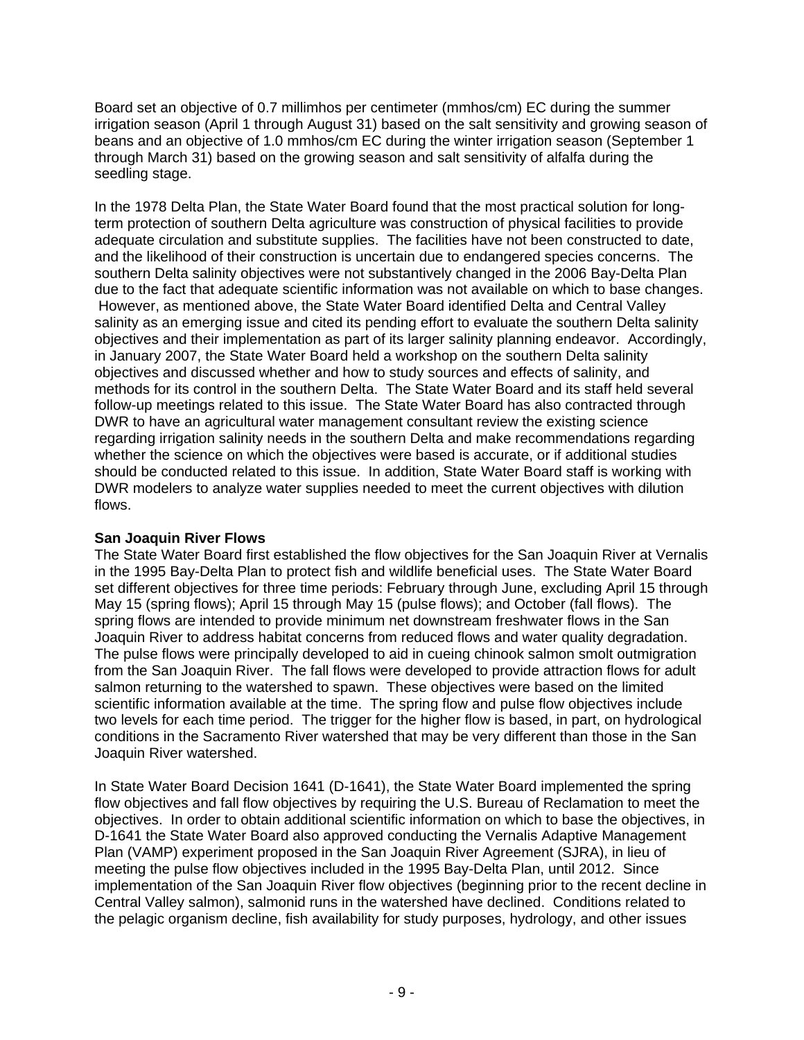Board set an objective of 0.7 millimhos per centimeter (mmhos/cm) EC during the summer irrigation season (April 1 through August 31) based on the salt sensitivity and growing season of beans and an objective of 1.0 mmhos/cm EC during the winter irrigation season (September 1 through March 31) based on the growing season and salt sensitivity of alfalfa during the seedling stage.

In the 1978 Delta Plan, the State Water Board found that the most practical solution for longterm protection of southern Delta agriculture was construction of physical facilities to provide adequate circulation and substitute supplies. The facilities have not been constructed to date, and the likelihood of their construction is uncertain due to endangered species concerns. The southern Delta salinity objectives were not substantively changed in the 2006 Bay-Delta Plan due to the fact that adequate scientific information was not available on which to base changes. However, as mentioned above, the State Water Board identified Delta and Central Valley salinity as an emerging issue and cited its pending effort to evaluate the southern Delta salinity objectives and their implementation as part of its larger salinity planning endeavor. Accordingly, in January 2007, the State Water Board held a workshop on the southern Delta salinity objectives and discussed whether and how to study sources and effects of salinity, and methods for its control in the southern Delta. The State Water Board and its staff held several follow-up meetings related to this issue. The State Water Board has also contracted through DWR to have an agricultural water management consultant review the existing science regarding irrigation salinity needs in the southern Delta and make recommendations regarding whether the science on which the objectives were based is accurate, or if additional studies should be conducted related to this issue. In addition, State Water Board staff is working with DWR modelers to analyze water supplies needed to meet the current objectives with dilution flows.

## **San Joaquin River Flows**

The State Water Board first established the flow objectives for the San Joaquin River at Vernalis in the 1995 Bay-Delta Plan to protect fish and wildlife beneficial uses. The State Water Board set different objectives for three time periods: February through June, excluding April 15 through May 15 (spring flows); April 15 through May 15 (pulse flows); and October (fall flows). The spring flows are intended to provide minimum net downstream freshwater flows in the San Joaquin River to address habitat concerns from reduced flows and water quality degradation. The pulse flows were principally developed to aid in cueing chinook salmon smolt outmigration from the San Joaquin River. The fall flows were developed to provide attraction flows for adult salmon returning to the watershed to spawn. These objectives were based on the limited scientific information available at the time. The spring flow and pulse flow objectives include two levels for each time period. The trigger for the higher flow is based, in part, on hydrological conditions in the Sacramento River watershed that may be very different than those in the San Joaquin River watershed.

In State Water Board Decision 1641 (D-1641), the State Water Board implemented the spring flow objectives and fall flow objectives by requiring the U.S. Bureau of Reclamation to meet the objectives. In order to obtain additional scientific information on which to base the objectives, in D-1641 the State Water Board also approved conducting the Vernalis Adaptive Management Plan (VAMP) experiment proposed in the San Joaquin River Agreement (SJRA), in lieu of meeting the pulse flow objectives included in the 1995 Bay-Delta Plan, until 2012. Since implementation of the San Joaquin River flow objectives (beginning prior to the recent decline in Central Valley salmon), salmonid runs in the watershed have declined. Conditions related to the pelagic organism decline, fish availability for study purposes, hydrology, and other issues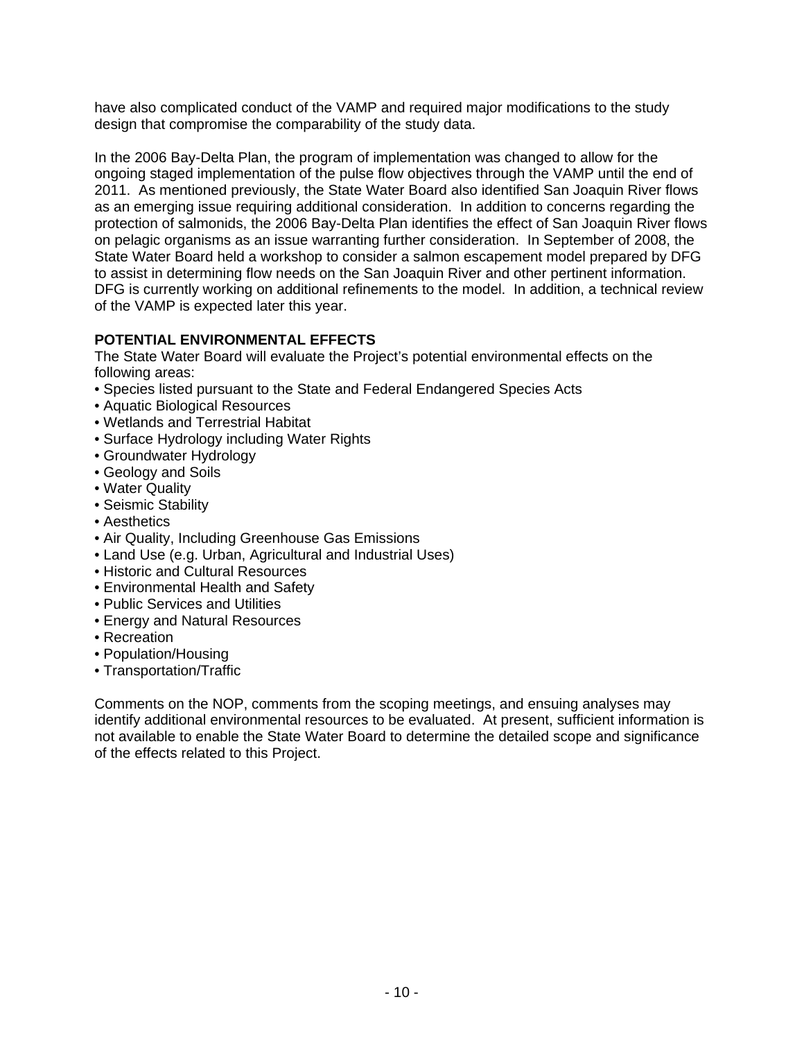have also complicated conduct of the VAMP and required major modifications to the study design that compromise the comparability of the study data.

In the 2006 Bay-Delta Plan, the program of implementation was changed to allow for the ongoing staged implementation of the pulse flow objectives through the VAMP until the end of 2011. As mentioned previously, the State Water Board also identified San Joaquin River flows as an emerging issue requiring additional consideration. In addition to concerns regarding the protection of salmonids, the 2006 Bay-Delta Plan identifies the effect of San Joaquin River flows on pelagic organisms as an issue warranting further consideration. In September of 2008, the State Water Board held a workshop to consider a salmon escapement model prepared by DFG to assist in determining flow needs on the San Joaquin River and other pertinent information. DFG is currently working on additional refinements to the model. In addition, a technical review of the VAMP is expected later this year.

# **POTENTIAL ENVIRONMENTAL EFFECTS**

The State Water Board will evaluate the Project's potential environmental effects on the following areas:

- Species listed pursuant to the State and Federal Endangered Species Acts
- Aquatic Biological Resources
- Wetlands and Terrestrial Habitat
- Surface Hydrology including Water Rights
- Groundwater Hydrology
- Geology and Soils
- Water Quality
- Seismic Stability
- Aesthetics
- Air Quality, Including Greenhouse Gas Emissions
- Land Use (e.g. Urban, Agricultural and Industrial Uses)
- Historic and Cultural Resources
- Environmental Health and Safety
- Public Services and Utilities
- Energy and Natural Resources
- Recreation
- Population/Housing
- Transportation/Traffic

Comments on the NOP, comments from the scoping meetings, and ensuing analyses may identify additional environmental resources to be evaluated. At present, sufficient information is not available to enable the State Water Board to determine the detailed scope and significance of the effects related to this Project.